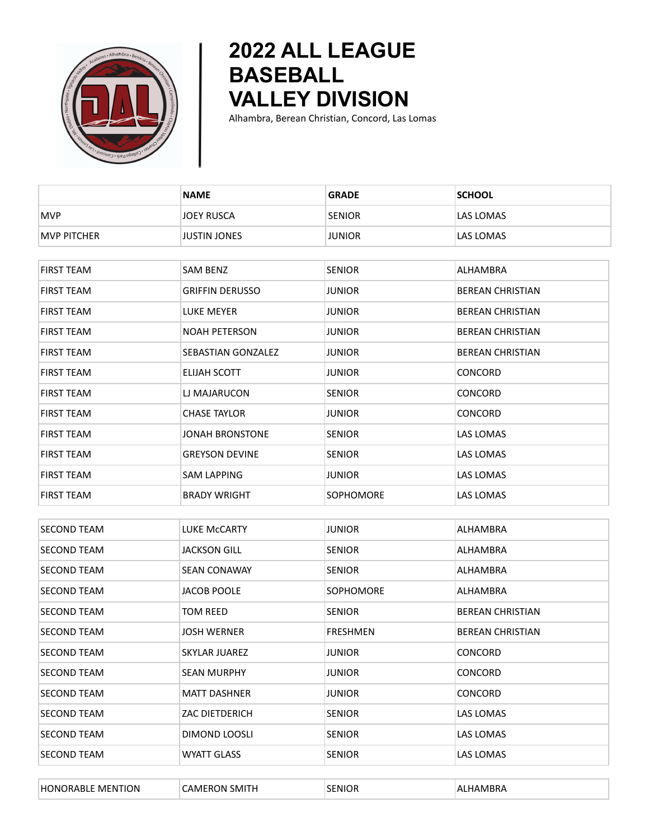

## **2022 ALL LEAGUE BASEBALL VALLEY DIVISION**

Alhambra, Berean Christian, Concord, Las Lomas

|                    | <b>NAME</b>            | <b>GRADE</b>     | <b>SCHOOL</b>           |
|--------------------|------------------------|------------------|-------------------------|
| <b>MVP</b>         | <b>JOEY RUSCA</b>      | <b>SENIOR</b>    | LAS LOMAS               |
| <b>MVP PITCHER</b> | <b>JUSTIN JONES</b>    | <b>JUNIOR</b>    | LAS LOMAS               |
|                    |                        |                  |                         |
| <b>FIRST TEAM</b>  | SAM BENZ               | <b>SENIOR</b>    | ALHAMBRA                |
| <b>FIRST TEAM</b>  | <b>GRIFFIN DERUSSO</b> | <b>JUNIOR</b>    | <b>BEREAN CHRISTIAN</b> |
| FIRST TEAM         | LUKE MEYER             | <b>JUNIOR</b>    | <b>BEREAN CHRISTIAN</b> |
| FIRST TEAM         | <b>NOAH PETERSON</b>   | <b>JUNIOR</b>    | <b>BEREAN CHRISTIAN</b> |
| <b>FIRST TEAM</b>  | SEBASTIAN GONZALEZ     | <b>JUNIOR</b>    | <b>BEREAN CHRISTIAN</b> |
| <b>FIRST TEAM</b>  | <b>ELIJAH SCOTT</b>    | <b>JUNIOR</b>    | <b>CONCORD</b>          |
| FIRST TEAM         | LJ MAJARUCON           | <b>SENIOR</b>    | <b>CONCORD</b>          |
| FIRST TEAM         | <b>CHASE TAYLOR</b>    | <b>JUNIOR</b>    | <b>CONCORD</b>          |
| <b>FIRST TEAM</b>  | JONAH BRONSTONE        | <b>SENIOR</b>    | LAS LOMAS               |
| <b>FIRST TEAM</b>  | <b>GREYSON DEVINE</b>  | <b>SENIOR</b>    | LAS LOMAS               |
| FIRST TEAM         | <b>SAM LAPPING</b>     | JUNIOR           | <b>LAS LOMAS</b>        |
| <b>FIRST TEAM</b>  | <b>BRADY WRIGHT</b>    | <b>SOPHOMORE</b> | LAS LOMAS               |
|                    |                        |                  |                         |
| <b>SECOND TEAM</b> | LUKE McCARTY           | <b>JUNIOR</b>    | ALHAMBRA                |
| <b>SECOND TEAM</b> | <b>JACKSON GILL</b>    | <b>SENIOR</b>    | ALHAMBRA                |
| <b>SECOND TEAM</b> | <b>SEAN CONAWAY</b>    | <b>SENIOR</b>    | ALHAMBRA                |
| <b>SECOND TEAM</b> | <b>JACOB POOLE</b>     | SOPHOMORE        | ALHAMBRA                |
| <b>SECOND TEAM</b> | <b>TOM REED</b>        | <b>SENIOR</b>    | <b>BEREAN CHRISTIAN</b> |
| SECOND TEAM        | <b>JOSH WERNER</b>     | <b>FRESHMEN</b>  | <b>BEREAN CHRISTIAN</b> |
| <b>SECOND TEAM</b> | <b>SKYLAR JUAREZ</b>   | <b>JUNIOR</b>    | <b>CONCORD</b>          |
| <b>SECOND TEAM</b> | <b>SEAN MURPHY</b>     | <b>JUNIOR</b>    | CONCORD                 |
| <b>SECOND TEAM</b> | <b>MATT DASHNER</b>    | <b>JUNIOR</b>    | CONCORD                 |
| <b>SECOND TEAM</b> | ZAC DIETDERICH         | <b>SENIOR</b>    | LAS LOMAS               |
| <b>SECOND TEAM</b> | DIMOND LOOSLI          | <b>SENIOR</b>    | <b>LAS LOMAS</b>        |
| SECOND TEAM        | <b>WYATT GLASS</b>     | <b>SENIOR</b>    | LAS LOMAS               |
|                    |                        |                  |                         |
| HONORABLE MENTION  | <b>CAMERON SMITH</b>   | <b>SENIOR</b>    | ALHAMBRA                |